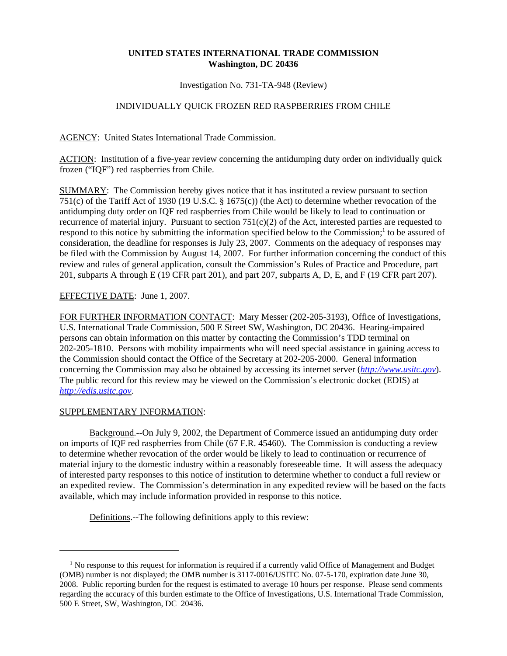## **UNITED STATES INTERNATIONAL TRADE COMMISSION Washington, DC 20436**

Investigation No. 731-TA-948 (Review)

## INDIVIDUALLY QUICK FROZEN RED RASPBERRIES FROM CHILE

AGENCY: United States International Trade Commission.

ACTION: Institution of a five-year review concerning the antidumping duty order on individually quick frozen ("IQF") red raspberries from Chile.

SUMMARY: The Commission hereby gives notice that it has instituted a review pursuant to section 751(c) of the Tariff Act of 1930 (19 U.S.C. § 1675(c)) (the Act) to determine whether revocation of the antidumping duty order on IQF red raspberries from Chile would be likely to lead to continuation or recurrence of material injury. Pursuant to section  $751(c)(2)$  of the Act, interested parties are requested to respond to this notice by submitting the information specified below to the Commission;<sup>1</sup> to be assured of consideration, the deadline for responses is July 23, 2007. Comments on the adequacy of responses may be filed with the Commission by August 14, 2007. For further information concerning the conduct of this review and rules of general application, consult the Commission's Rules of Practice and Procedure, part 201, subparts A through E (19 CFR part 201), and part 207, subparts A, D, E, and F (19 CFR part 207).

## EFFECTIVE DATE: June 1, 2007.

FOR FURTHER INFORMATION CONTACT: Mary Messer (202-205-3193), Office of Investigations, U.S. International Trade Commission, 500 E Street SW, Washington, DC 20436. Hearing-impaired persons can obtain information on this matter by contacting the Commission's TDD terminal on 202-205-1810. Persons with mobility impairments who will need special assistance in gaining access to the Commission should contact the Office of the Secretary at 202-205-2000. General information concerning the Commission may also be obtained by accessing its internet server (*http://www.usitc.gov*). The public record for this review may be viewed on the Commission's electronic docket (EDIS) at *http://edis.usitc.gov*.

## SUPPLEMENTARY INFORMATION:

Background.--On July 9, 2002, the Department of Commerce issued an antidumping duty order on imports of IQF red raspberries from Chile (67 F.R. 45460). The Commission is conducting a review to determine whether revocation of the order would be likely to lead to continuation or recurrence of material injury to the domestic industry within a reasonably foreseeable time. It will assess the adequacy of interested party responses to this notice of institution to determine whether to conduct a full review or an expedited review. The Commission's determination in any expedited review will be based on the facts available, which may include information provided in response to this notice.

Definitions.--The following definitions apply to this review:

<sup>&</sup>lt;sup>1</sup> No response to this request for information is required if a currently valid Office of Management and Budget (OMB) number is not displayed; the OMB number is 3117-0016/USITC No. 07-5-170, expiration date June 30, 2008. Public reporting burden for the request is estimated to average 10 hours per response. Please send comments regarding the accuracy of this burden estimate to the Office of Investigations, U.S. International Trade Commission, 500 E Street, SW, Washington, DC 20436.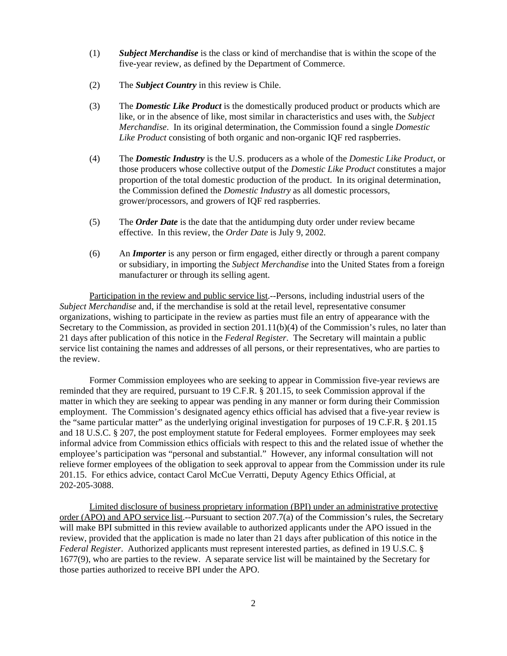- (1) *Subject Merchandise* is the class or kind of merchandise that is within the scope of the five-year review, as defined by the Department of Commerce.
- (2) The *Subject Country* in this review is Chile.
- (3) The *Domestic Like Product* is the domestically produced product or products which are like, or in the absence of like, most similar in characteristics and uses with, the *Subject Merchandise*. In its original determination, the Commission found a single *Domestic Like Product* consisting of both organic and non-organic IQF red raspberries.
- (4) The *Domestic Industry* is the U.S. producers as a whole of the *Domestic Like Product*, or those producers whose collective output of the *Domestic Like Product* constitutes a major proportion of the total domestic production of the product. In its original determination, the Commission defined the *Domestic Industry* as all domestic processors, grower/processors, and growers of IQF red raspberries.
- (5) The *Order Date* is the date that the antidumping duty order under review became effective. In this review, the *Order Date* is July 9, 2002.
- (6) An *Importer* is any person or firm engaged, either directly or through a parent company or subsidiary, in importing the *Subject Merchandise* into the United States from a foreign manufacturer or through its selling agent.

Participation in the review and public service list.--Persons, including industrial users of the *Subject Merchandise* and, if the merchandise is sold at the retail level, representative consumer organizations, wishing to participate in the review as parties must file an entry of appearance with the Secretary to the Commission, as provided in section 201.11(b)(4) of the Commission's rules, no later than 21 days after publication of this notice in the *Federal Register*. The Secretary will maintain a public service list containing the names and addresses of all persons, or their representatives, who are parties to the review.

Former Commission employees who are seeking to appear in Commission five-year reviews are reminded that they are required, pursuant to 19 C.F.R. § 201.15, to seek Commission approval if the matter in which they are seeking to appear was pending in any manner or form during their Commission employment. The Commission's designated agency ethics official has advised that a five-year review is the "same particular matter" as the underlying original investigation for purposes of 19 C.F.R. § 201.15 and 18 U.S.C. § 207, the post employment statute for Federal employees. Former employees may seek informal advice from Commission ethics officials with respect to this and the related issue of whether the employee's participation was "personal and substantial." However, any informal consultation will not relieve former employees of the obligation to seek approval to appear from the Commission under its rule 201.15. For ethics advice, contact Carol McCue Verratti, Deputy Agency Ethics Official, at 202-205-3088.

Limited disclosure of business proprietary information (BPI) under an administrative protective order (APO) and APO service list.--Pursuant to section 207.7(a) of the Commission's rules, the Secretary will make BPI submitted in this review available to authorized applicants under the APO issued in the review, provided that the application is made no later than 21 days after publication of this notice in the *Federal Register*. Authorized applicants must represent interested parties, as defined in 19 U.S.C. § 1677(9), who are parties to the review. A separate service list will be maintained by the Secretary for those parties authorized to receive BPI under the APO.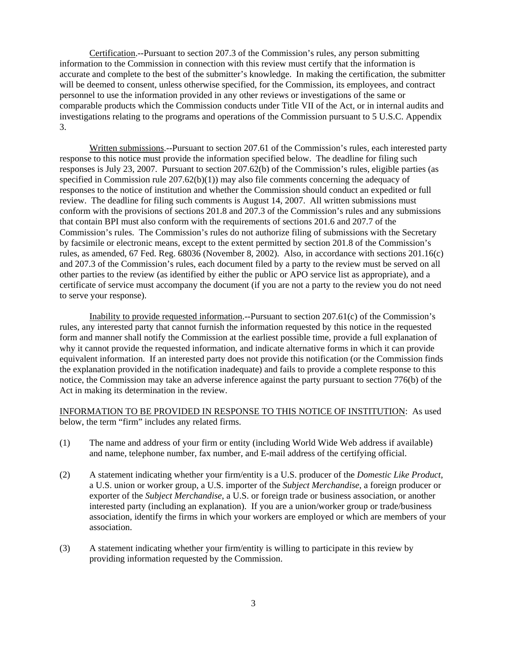Certification.--Pursuant to section 207.3 of the Commission's rules, any person submitting information to the Commission in connection with this review must certify that the information is accurate and complete to the best of the submitter's knowledge. In making the certification, the submitter will be deemed to consent, unless otherwise specified, for the Commission, its employees, and contract personnel to use the information provided in any other reviews or investigations of the same or comparable products which the Commission conducts under Title VII of the Act, or in internal audits and investigations relating to the programs and operations of the Commission pursuant to 5 U.S.C. Appendix 3.

Written submissions.--Pursuant to section 207.61 of the Commission's rules, each interested party response to this notice must provide the information specified below. The deadline for filing such responses is July 23, 2007. Pursuant to section 207.62(b) of the Commission's rules, eligible parties (as specified in Commission rule  $207.62(b)(1)$  may also file comments concerning the adequacy of responses to the notice of institution and whether the Commission should conduct an expedited or full review. The deadline for filing such comments is August 14, 2007. All written submissions must conform with the provisions of sections 201.8 and 207.3 of the Commission's rules and any submissions that contain BPI must also conform with the requirements of sections 201.6 and 207.7 of the Commission's rules. The Commission's rules do not authorize filing of submissions with the Secretary by facsimile or electronic means, except to the extent permitted by section 201.8 of the Commission's rules, as amended, 67 Fed. Reg. 68036 (November 8, 2002). Also, in accordance with sections 201.16(c) and 207.3 of the Commission's rules, each document filed by a party to the review must be served on all other parties to the review (as identified by either the public or APO service list as appropriate), and a certificate of service must accompany the document (if you are not a party to the review you do not need to serve your response).

Inability to provide requested information.--Pursuant to section 207.61(c) of the Commission's rules, any interested party that cannot furnish the information requested by this notice in the requested form and manner shall notify the Commission at the earliest possible time, provide a full explanation of why it cannot provide the requested information, and indicate alternative forms in which it can provide equivalent information. If an interested party does not provide this notification (or the Commission finds the explanation provided in the notification inadequate) and fails to provide a complete response to this notice, the Commission may take an adverse inference against the party pursuant to section 776(b) of the Act in making its determination in the review.

INFORMATION TO BE PROVIDED IN RESPONSE TO THIS NOTICE OF INSTITUTION: As used below, the term "firm" includes any related firms.

- (1) The name and address of your firm or entity (including World Wide Web address if available) and name, telephone number, fax number, and E-mail address of the certifying official.
- (2) A statement indicating whether your firm/entity is a U.S. producer of the *Domestic Like Product*, a U.S. union or worker group, a U.S. importer of the *Subject Merchandise*, a foreign producer or exporter of the *Subject Merchandise*, a U.S. or foreign trade or business association, or another interested party (including an explanation). If you are a union/worker group or trade/business association, identify the firms in which your workers are employed or which are members of your association.
- (3) A statement indicating whether your firm/entity is willing to participate in this review by providing information requested by the Commission.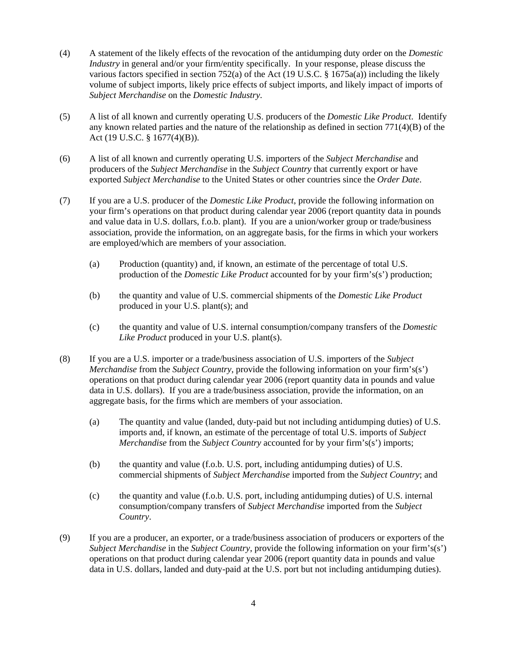- (4) A statement of the likely effects of the revocation of the antidumping duty order on the *Domestic Industry* in general and/or your firm/entity specifically. In your response, please discuss the various factors specified in section 752(a) of the Act (19 U.S.C. §  $1675a(a)$ ) including the likely volume of subject imports, likely price effects of subject imports, and likely impact of imports of *Subject Merchandise* on the *Domestic Industry*.
- (5) A list of all known and currently operating U.S. producers of the *Domestic Like Product*. Identify any known related parties and the nature of the relationship as defined in section  $771(4)(B)$  of the Act (19 U.S.C. § 1677(4)(B)).
- (6) A list of all known and currently operating U.S. importers of the *Subject Merchandise* and producers of the *Subject Merchandise* in the *Subject Country* that currently export or have exported *Subject Merchandise* to the United States or other countries since the *Order Date*.
- (7) If you are a U.S. producer of the *Domestic Like Product*, provide the following information on your firm's operations on that product during calendar year 2006 (report quantity data in pounds and value data in U.S. dollars, f.o.b. plant). If you are a union/worker group or trade/business association, provide the information, on an aggregate basis, for the firms in which your workers are employed/which are members of your association.
	- (a) Production (quantity) and, if known, an estimate of the percentage of total U.S. production of the *Domestic Like Product* accounted for by your firm's(s') production;
	- (b) the quantity and value of U.S. commercial shipments of the *Domestic Like Product* produced in your U.S. plant(s); and
	- (c) the quantity and value of U.S. internal consumption/company transfers of the *Domestic Like Product* produced in your U.S. plant(s).
- (8) If you are a U.S. importer or a trade/business association of U.S. importers of the *Subject Merchandise* from the *Subject Country*, provide the following information on your firm's(s') operations on that product during calendar year 2006 (report quantity data in pounds and value data in U.S. dollars). If you are a trade/business association, provide the information, on an aggregate basis, for the firms which are members of your association.
	- (a) The quantity and value (landed, duty-paid but not including antidumping duties) of U.S. imports and, if known, an estimate of the percentage of total U.S. imports of *Subject Merchandise* from the *Subject Country* accounted for by your firm's(s') imports;
	- (b) the quantity and value (f.o.b. U.S. port, including antidumping duties) of U.S. commercial shipments of *Subject Merchandise* imported from the *Subject Country*; and
	- (c) the quantity and value (f.o.b. U.S. port, including antidumping duties) of U.S. internal consumption/company transfers of *Subject Merchandise* imported from the *Subject Country*.
- (9) If you are a producer, an exporter, or a trade/business association of producers or exporters of the *Subject Merchandise* in the *Subject Country*, provide the following information on your firm's(s') operations on that product during calendar year 2006 (report quantity data in pounds and value data in U.S. dollars, landed and duty-paid at the U.S. port but not including antidumping duties).